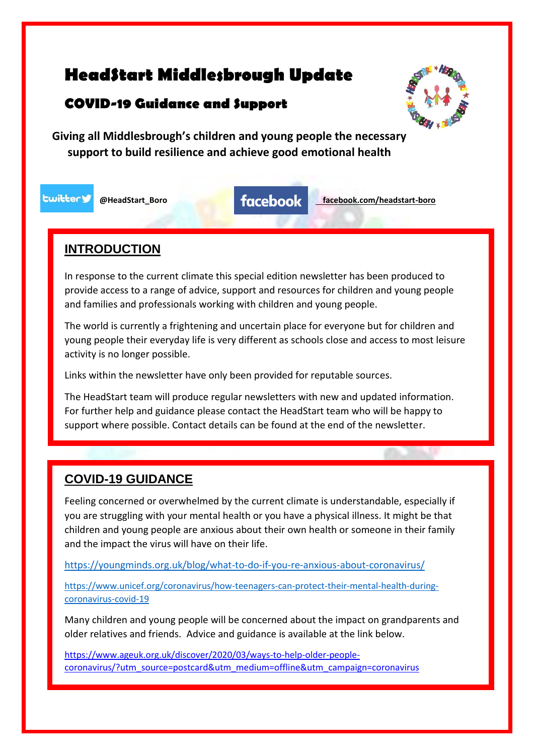# **HeadStart Middlesbrough Update**

# **COVID-19 Guidance and Support**



**Giving all Middlesbrough's children and young people the necessary support to build resilience and achieve good emotional health**

**Lwittery** 

**@HeadStart\_Boro facebook.com/headstart-boro**

### **INTRODUCTION**

In response to the current climate this special edition newsletter has been produced to provide access to a range of advice, support and resources for children and young people and families and professionals working with children and young people.

The world is currently a frightening and uncertain place for everyone but for children and young people their everyday life is very different as schools close and access to most leisure activity is no longer possible.

Links within the newsletter have only been provided for reputable sources.

The HeadStart team will produce regular newsletters with new and updated information. For further help and guidance please contact the HeadStart team who will be happy to support where possible. Contact details can be found at the end of the newsletter.

# **COVID-19 GUIDANCE**

Feeling concerned or overwhelmed by the current climate is understandable, especially if you are struggling with your mental health or you have a physical illness. It might be that children and young people are anxious about their own health or someone in their family and the impact the virus will have on their life.

<https://youngminds.org.uk/blog/what-to-do-if-you-re-anxious-about-coronavirus/>

[https://www.unicef.org/coronavirus/how-teenagers-can-protect-their-mental-health-during](https://www.unicef.org/coronavirus/how-teenagers-can-protect-their-mental-health-during-coronavirus-covid-19)[coronavirus-covid-19](https://www.unicef.org/coronavirus/how-teenagers-can-protect-their-mental-health-during-coronavirus-covid-19)

Many children and young people will be concerned about the impact on grandparents and older relatives and friends. Advice and guidance is available at the link below.

[https://www.ageuk.org.uk/discover/2020/03/ways-to-help-older-people](https://www.ageuk.org.uk/discover/2020/03/ways-to-help-older-people-coronavirus/?utm_source=postcard&utm_medium=offline&utm_campaign=coronavirus)[coronavirus/?utm\\_source=postcard&utm\\_medium=offline&utm\\_campaign=coronavirus](https://www.ageuk.org.uk/discover/2020/03/ways-to-help-older-people-coronavirus/?utm_source=postcard&utm_medium=offline&utm_campaign=coronavirus)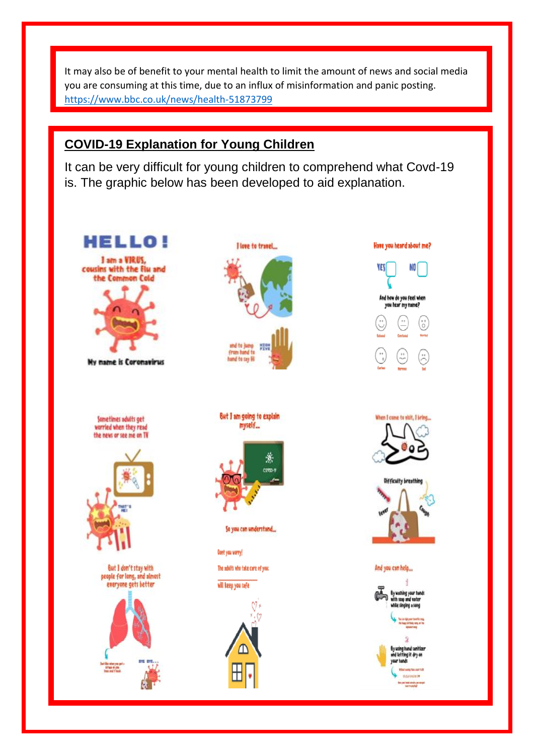It may also be of benefit to your mental health to limit the amount of news and social media you are consuming at this time, due to an influx of misinformation and panic posting. <https://www.bbc.co.uk/news/health-51873799>

# **COVID-19 Explanation for Young Children**

It can be very difficult for young children to comprehend what Covd-19 is. The graphic below has been developed to aid explanation.

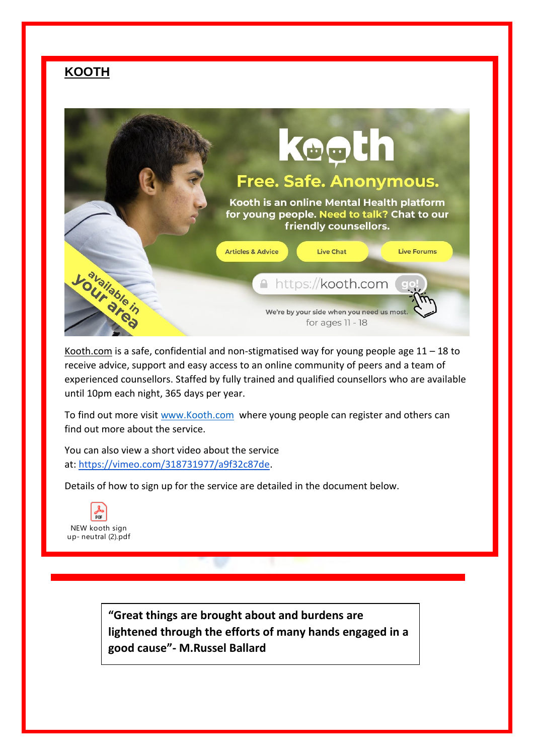## **KOOTH**



Kooth.com is a safe, confidential and non-stigmatised way for young people age  $11 - 18$  to receive advice, support and easy access to an online community of peers and a team of experienced counsellors. Staffed by fully trained and qualified counsellors who are available until 10pm each night, 365 days per year.

To find out more visit [www.Kooth.com](http://www.kooth.com/) where young people can register and others can find out more about the service.

You can also view a short video about the service at: [https://vimeo.com/318731977/a9f32c87de.](https://vimeo.com/318731977/a9f32c87de)

Details of how to sign up for the service are detailed in the document below.



**"Great things are brought about and burdens are lightened through the efforts of many hands engaged in a good cause"- M.Russel Ballard**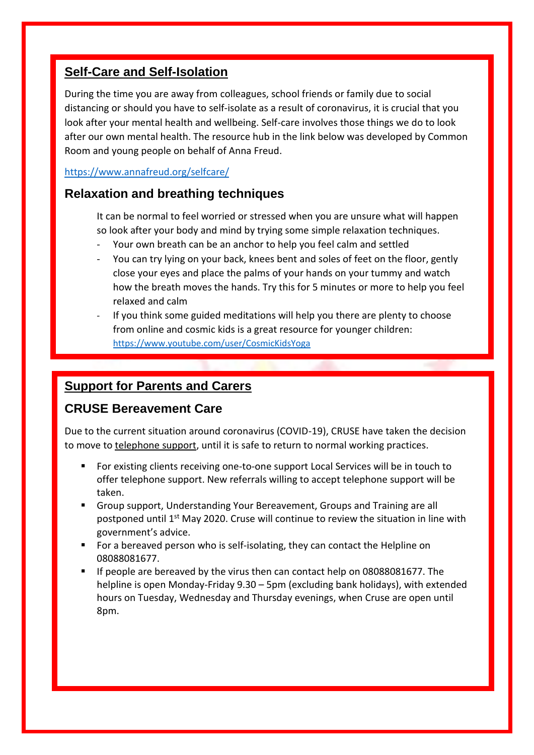### **Self-Care and Self-Isolation**

During the time you are away from colleagues, school friends or family due to social distancing or should you have to self-isolate as a result of coronavirus, it is crucial that you look after your mental health and wellbeing. Self-care involves those things we do to look after our own mental health. The resource hub in the link below was developed by Common Room and young people on behalf of Anna Freud.

#### <https://www.annafreud.org/selfcare/>

### **Relaxation and breathing techniques**

It can be normal to feel worried or stressed when you are unsure what will happen so look after your body and mind by trying some simple relaxation techniques.

- Your own breath can be an anchor to help you feel calm and settled
- You can try lying on your back, knees bent and soles of feet on the floor, gently close your eyes and place the palms of your hands on your tummy and watch how the breath moves the hands. Try this for 5 minutes or more to help you feel relaxed and calm
- If you think some guided meditations will help you there are plenty to choose from online and cosmic kids is a great resource for younger children: <https://www.youtube.com/user/CosmicKidsYoga>

### **Support for Parents and Carers**

### **CRUSE Bereavement Care**

Due to the current situation around coronavirus (COVID-19), CRUSE have taken the decision to move to telephone support, until it is safe to return to normal working practices.

- For existing clients receiving one-to-one support Local Services will be in touch to offer telephone support. New referrals willing to accept telephone support will be taken.
- Group support, Understanding Your Bereavement, Groups and Training are all postponed until 1st May 2020. Cruse will continue to review the situation in line with government's advice.
- For a bereaved person who is self-isolating, they can contact the Helpline on 08088081677.
- If people are bereaved by the virus then can contact help on 08088081677. The helpline is open Monday-Friday 9.30 – 5pm (excluding bank holidays), with extended hours on Tuesday, Wednesday and Thursday evenings, when Cruse are open until 8pm.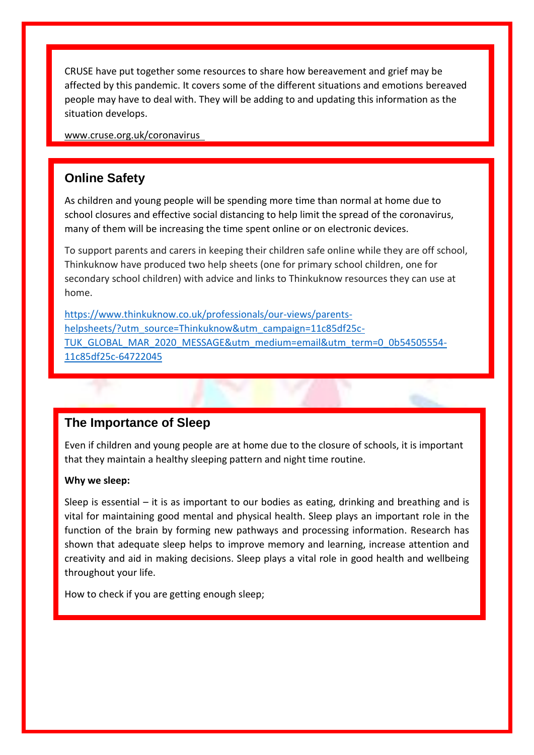CRUSE have put together some resources to share how bereavement and grief may be affected by this pandemic. It covers some of the different situations and emotions bereaved people may have to deal with. They will be adding to and updating this information as the situation develops.

[www.cruse.org.uk/coronavirus](http://www.cruse.org.uk/coronavirus%20 ) 

### **Online Safety**

As children and young people will be spending more time than normal at home due to school closures and effective social distancing to help limit the spread of the coronavirus, many of them will be increasing the time spent online or on electronic devices.

To support parents and carers in keeping their children safe online while they are off school, Thinkuknow have produced two help sheets (one for primary school children, one for secondary school children) with advice and links to Thinkuknow resources they can use at home.

[https://www.thinkuknow.co.uk/professionals/our-views/parents](https://www.thinkuknow.co.uk/professionals/our-views/parents-helpsheets/?utm_source=Thinkuknow&utm_campaign=11c85df25c-TUK_GLOBAL_MAR_2020_MESSAGE&utm_medium=email&utm_term=0_0b54505554-11c85df25c-64722045)[helpsheets/?utm\\_source=Thinkuknow&utm\\_campaign=11c85df25c-](https://www.thinkuknow.co.uk/professionals/our-views/parents-helpsheets/?utm_source=Thinkuknow&utm_campaign=11c85df25c-TUK_GLOBAL_MAR_2020_MESSAGE&utm_medium=email&utm_term=0_0b54505554-11c85df25c-64722045)[TUK\\_GLOBAL\\_MAR\\_2020\\_MESSAGE&utm\\_medium=email&utm\\_term=0\\_0b54505554-](https://www.thinkuknow.co.uk/professionals/our-views/parents-helpsheets/?utm_source=Thinkuknow&utm_campaign=11c85df25c-TUK_GLOBAL_MAR_2020_MESSAGE&utm_medium=email&utm_term=0_0b54505554-11c85df25c-64722045) [11c85df25c-64722045](https://www.thinkuknow.co.uk/professionals/our-views/parents-helpsheets/?utm_source=Thinkuknow&utm_campaign=11c85df25c-TUK_GLOBAL_MAR_2020_MESSAGE&utm_medium=email&utm_term=0_0b54505554-11c85df25c-64722045)

#### **The Importance of Sleep**

Even if children and young people are at home due to the closure of schools, it is important that they maintain a healthy sleeping pattern and night time routine.

#### **Why we sleep:**

Sleep is essential – it is as important to our bodies as eating, drinking and breathing and is vital for maintaining good mental and physical health. Sleep plays an important role in the function of the brain by forming new pathways and processing information. Research has shown that adequate sleep helps to improve memory and learning, increase attention and creativity and aid in making decisions. Sleep plays a vital role in good health and wellbeing throughout your life.

How to check if you are getting enough sleep;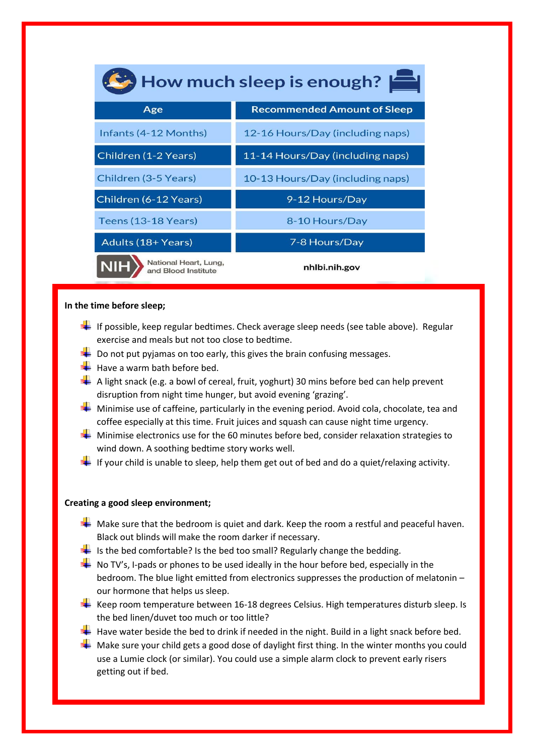| How much sleep is enough?                    |                                    |
|----------------------------------------------|------------------------------------|
| Age                                          | <b>Recommended Amount of Sleep</b> |
| Infants (4-12 Months)                        | 12-16 Hours/Day (including naps)   |
| Children (1-2 Years)                         | 11-14 Hours/Day (including naps)   |
| Children (3-5 Years)                         | 10-13 Hours/Day (including naps)   |
| Children (6-12 Years)                        | 9-12 Hours/Day                     |
| Teens (13-18 Years)                          | 8-10 Hours/Day                     |
| Adults (18+ Years)                           | 7-8 Hours/Day                      |
| National Heart, Lung,<br>and Blood Institute | nhlbi.nih.gov                      |

#### **In the time before sleep;**

- If possible, keep regular bedtimes. Check average sleep needs (see table above). Regular exercise and meals but not too close to bedtime.
- $\blacktriangleright$  Do not put pyjamas on too early, this gives the brain confusing messages.
- $\frac{1}{\sqrt{1}}$  Have a warm bath before bed.
- $\blacktriangleright$  A light snack (e.g. a bowl of cereal, fruit, yoghurt) 30 mins before bed can help prevent disruption from night time hunger, but avoid evening 'grazing'.
- **Minimise use of caffeine, particularly in the evening period. Avoid cola, chocolate, tea and** coffee especially at this time. Fruit juices and squash can cause night time urgency.
- $\blacktriangleright$  Minimise electronics use for the 60 minutes before bed, consider relaxation strategies to wind down. A soothing bedtime story works well.
- If your child is unable to sleep, help them get out of bed and do a quiet/relaxing activity.

#### **Creating a good sleep environment;**

- $\blacktriangleright$  Make sure that the bedroom is quiet and dark. Keep the room a restful and peaceful haven. Black out blinds will make the room darker if necessary.
- $\frac{1}{2}$  Is the bed comfortable? Is the bed too small? Regularly change the bedding.
- $\blacksquare$  No TV's, I-pads or phones to be used ideally in the hour before bed, especially in the bedroom. The blue light emitted from electronics suppresses the production of melatonin – our hormone that helps us sleep.
- $\downarrow$  Keep room temperature between 16-18 degrees Celsius. High temperatures disturb sleep. Is the bed linen/duvet too much or too little?
- Have water beside the bed to drink if needed in the night. Build in a light snack before bed.
- $\pm$  Make sure your child gets a good dose of daylight first thing. In the winter months you could use a Lumie clock (or similar). You could use a simple alarm clock to prevent early risers getting out if bed.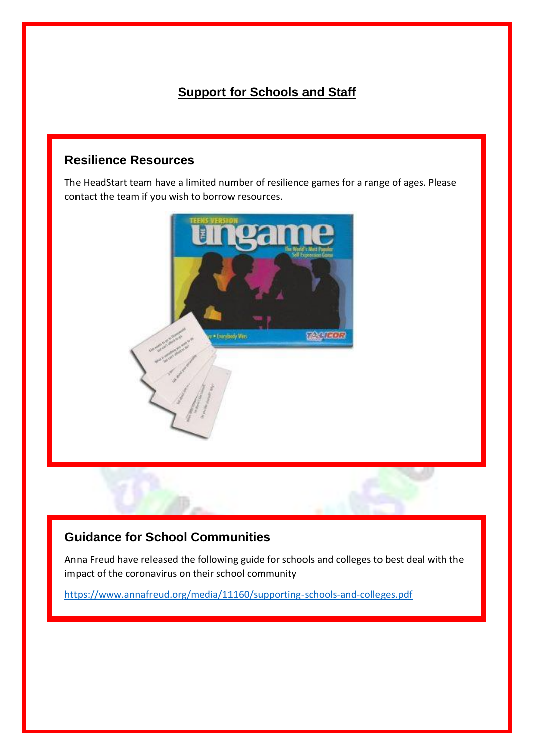# **Support for Schools and Staff**

### **Resilience Resources**

The HeadStart team have a limited number of resilience games for a range of ages. Please contact the team if you wish to borrow resources.



# **Guidance for School Communities**

Anna Freud have released the following guide for schools and colleges to best deal with the impact of the coronavirus on their school community

<https://www.annafreud.org/media/11160/supporting-schools-and-colleges.pdf>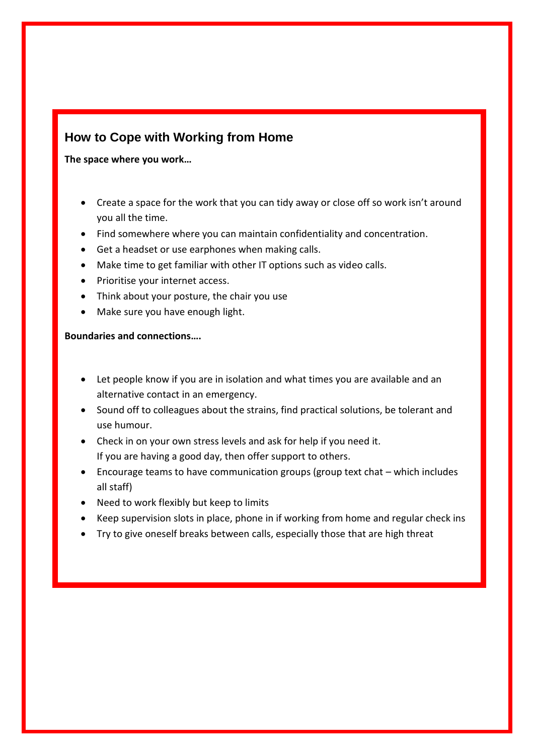## **How to Cope with Working from Home**

**The space where you work…**

- Create a space for the work that you can tidy away or close off so work isn't around you all the time.
- Find somewhere where you can maintain confidentiality and concentration.
- Get a headset or use earphones when making calls.
- Make time to get familiar with other IT options such as video calls.
- Prioritise your internet access.
- Think about your posture, the chair you use
- Make sure you have enough light.

**Boundaries and connections….**

- Let people know if you are in isolation and what times you are available and an alternative contact in an emergency.
- Sound off to colleagues about the strains, find practical solutions, be tolerant and use humour.
- Check in on your own stress levels and ask for help if you need it. If you are having a good day, then offer support to others.
- Encourage teams to have communication groups (group text chat which includes all staff)
- Need to work flexibly but keep to limits
- Keep supervision slots in place, phone in if working from home and regular check ins
- Try to give oneself breaks between calls, especially those that are high threat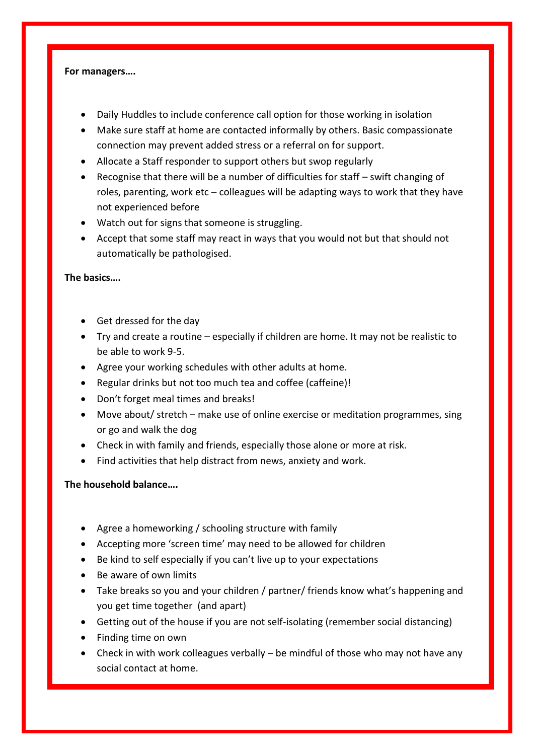#### **For managers….**

- Daily Huddles to include conference call option for those working in isolation
- Make sure staff at home are contacted informally by others. Basic compassionate connection may prevent added stress or a referral on for support.
- Allocate a Staff responder to support others but swop regularly
- Recognise that there will be a number of difficulties for staff swift changing of roles, parenting, work etc – colleagues will be adapting ways to work that they have not experienced before
- Watch out for signs that someone is struggling.
- Accept that some staff may react in ways that you would not but that should not automatically be pathologised.

#### **The basics….**

- Get dressed for the day
- Try and create a routine especially if children are home. It may not be realistic to be able to work 9-5.
- Agree your working schedules with other adults at home.
- Regular drinks but not too much tea and coffee (caffeine)!
- Don't forget meal times and breaks!
- Move about/ stretch make use of online exercise or meditation programmes, sing or go and walk the dog
- Check in with family and friends, especially those alone or more at risk.
- Find activities that help distract from news, anxiety and work.

#### **The household balance….**

- Agree a homeworking / schooling structure with family
- Accepting more 'screen time' may need to be allowed for children
- Be kind to self especially if you can't live up to your expectations
- Be aware of own limits
- Take breaks so you and your children / partner/ friends know what's happening and you get time together (and apart)
- Getting out of the house if you are not self-isolating (remember social distancing)
- Finding time on own
- Check in with work colleagues verbally be mindful of those who may not have any social contact at home.